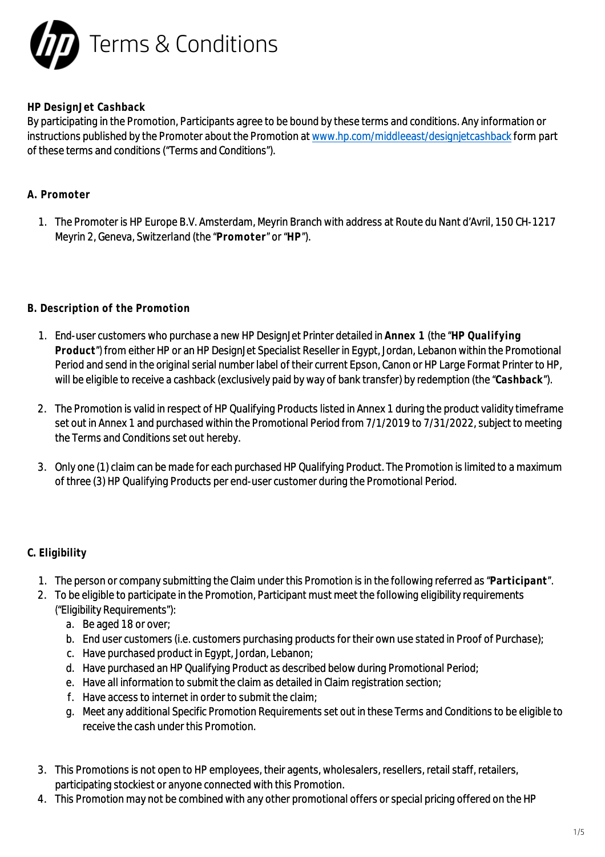

#### **HP DesignJet Cashback**

By participating in the Promotion, Participants agree to be bound by these terms and conditions. Any information or instructions published by the Promoter about the Promotion at [www.hp.com/middleeast/designjetcashback](http://www.hp.com/middleeast/designjetcashback) form part of these terms and conditions ("Terms and Conditions").

#### **A. Promoter**

1. The Promoter is HP Europe B.V. Amsterdam, Meyrin Branch with address at Route du Nant d'Avril, 150 CH-1217 Meyrin 2, Geneva, Switzerland (the "**Promoter**" or "**HP**").

#### **B. Description of the Promotion**

- 1. End-user customers who purchase a new HP DesignJet Printer detailed in **Annex 1** (the "**HP Qualifying Product**") from either HP or an HP DesignJet Specialist Reseller in Egypt, Jordan, Lebanon within the Promotional Period and send in the original serial number label of their current Epson, Canon or HP Large Format Printer to HP, will be eligible to receive a cashback (exclusively paid by way of bank transfer) by redemption (the "**Cashback**").
- 2. The Promotion is valid in respect of HP Qualifying Products listed in Annex 1 during the product validity timeframe set out in Annex 1 and purchased within the Promotional Period from 7/1/2019 to 7/31/2022, subject to meeting the Terms and Conditions set out hereby.
- 3. Only one (1) claim can be made for each purchased HP Qualifying Product. The Promotion is limited to a maximum of three (3) HP Qualifying Products per end-user customer during the Promotional Period.

## **C. Eligibility**

- 1. The person or company submitting the Claim under this Promotion is in the following referred as "**Participant**".
- 2. To be eligible to participate in the Promotion, Participant must meet the following eligibility requirements ("Eligibility Requirements"):
	- a. Be aged 18 or over;
	- b. End user customers (i.e. customers purchasing products for their own use stated in Proof of Purchase);
	- c. Have purchased product in Egypt, Jordan, Lebanon;
	- d. Have purchased an HP Qualifying Product as described below during Promotional Period;
	- e. Have all information to submit the claim as detailed in Claim registration section;
	- f. Have access to internet in order to submit the claim;
	- g. Meet any additional Specific Promotion Requirements set out in these Terms and Conditions to be eligible to receive the cash under this Promotion.
- 3. This Promotions is not open to HP employees, their agents, wholesalers, resellers, retail staff, retailers, participating stockiest or anyone connected with this Promotion.
- 4. This Promotion may not be combined with any other promotional offers or special pricing offered on the HP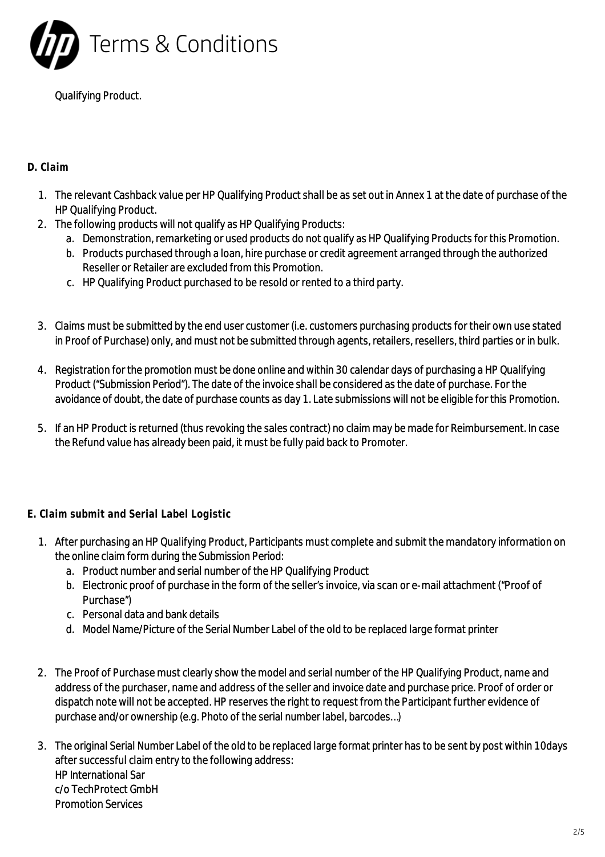

Qualifying Product.

## **D. Claim**

- 1. The relevant Cashback value per HP Qualifying Product shall be as set out in Annex 1 at the date of purchase of the HP Qualifying Product.
- 2. The following products will not qualify as HP Qualifying Products:
	- a. Demonstration, remarketing or used products do not qualify as HP Qualifying Products for this Promotion.
	- b. Products purchased through a loan, hire purchase or credit agreement arranged through the authorized Reseller or Retailer are excluded from this Promotion.
	- c. HP Qualifying Product purchased to be resold or rented to a third party.
- 3. Claims must be submitted by the end user customer (i.e. customers purchasing products for their own use stated in Proof of Purchase) only, and must not be submitted through agents, retailers, resellers, third parties or in bulk.
- 4. Registration for the promotion must be done online and within 30 calendar days of purchasing a HP Qualifying Product ("Submission Period"). The date of the invoice shall be considered as the date of purchase. For the avoidance of doubt, the date of purchase counts as day 1. Late submissions will not be eligible for this Promotion.
- 5. If an HP Product is returned (thus revoking the sales contract) no claim may be made for Reimbursement. In case the Refund value has already been paid, it must be fully paid back to Promoter.
- **E. Claim submit and Serial Label Logistic**
	- 1. After purchasing an HP Qualifying Product, Participants must complete and submit the mandatory information on the online claim form during the Submission Period:
		- a. Product number and serial number of the HP Qualifying Product
		- b. Electronic proof of purchase in the form of the seller's invoice, via scan or e-mail attachment ("Proof of Purchase")
		- c. Personal data and bank details
		- d. Model Name/Picture of the Serial Number Label of the old to be replaced large format printer
	- 2. The Proof of Purchase must clearly show the model and serial number of the HP Qualifying Product, name and address of the purchaser, name and address of the seller and invoice date and purchase price. Proof of order or dispatch note will not be accepted. HP reserves the right to request from the Participant further evidence of purchase and/or ownership (e.g. Photo of the serial number label, barcodes…)
	- 3. The original Serial Number Label of the old to be replaced large format printer has to be sent by post within 10days after successful claim entry to the following address: HP International Sar c/o TechProtect GmbH Promotion Services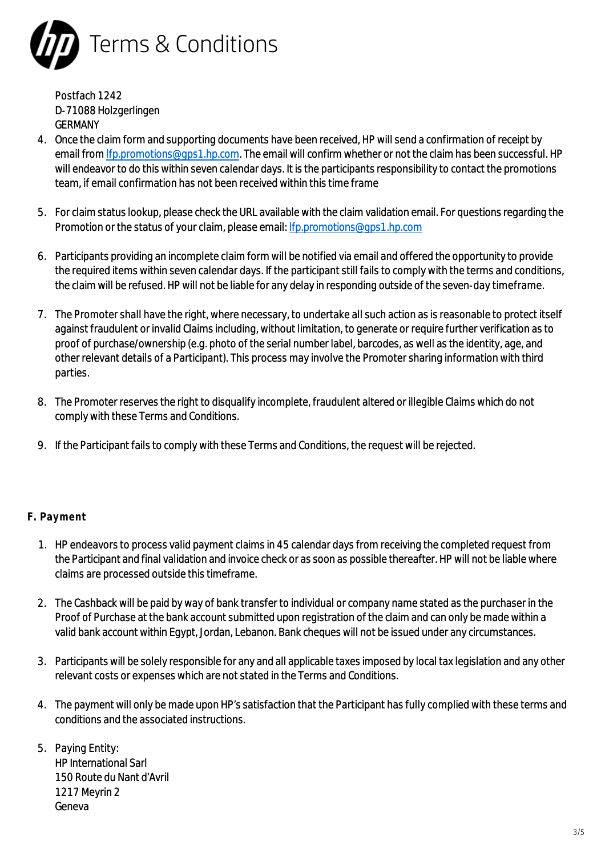

Postfach 1242 D-71088 Holzgerlingen GERMANY

- 4. Once the claim form and supporting documents have been received, HP will send a confirmation of receipt by email from Ifp.promotions@gps1.hp.com. The email will confirm whether or not the claim has been successful. HP will endeavor to do this within seven calendar days. It is the participants responsibility to contact the promotions team, if email confirmation has not been received within this time frame
- 5. For claim status lookup, please check the URL available with the claim validation email. For questions regarding the Promotion or the status of your claim, please email: Ifp.promotions@gps1.hp.com
- 6. Participants providing an incomplete claim form will be notified via email and offered the opportunity to provide the required items within seven calendar days. If the participant still fails to comply with the terms and conditions, the claim will be refused. HP will not be liable for any delay in responding outside of the seven-day timeframe.
- 7. The Promoter shall have the right, where necessary, to undertake all such action as is reasonable to protect itself against fraudulent or invalid Claims including, without limitation, to generate or require further verification as to proof of purchase/ownership (e.g. photo of the serial number label, barcodes, as well as the identity, age, and other relevant details of a Participant). This process may involve the Promoter sharing information with third parties.
- 8. The Promoter reserves the right to disqualify incomplete, fraudulent altered or illegible Claims which do not comply with these Terms and Conditions.
- 9. If the Participant fails to comply with these Terms and Conditions, the request will be rejected.

## **F. Payment**

- 1. HP endeavors to process valid payment claims in 45 calendar days from receiving the completed request from the Participant and final validation and invoice check or as soon as possible thereafter. HP will not be liable where claims are processed outside this timeframe.
- 2. The Cashback will be paid by way of bank transfer to individual or company name stated as the purchaser in the Proof of Purchase at the bank account submitted upon registration of the claim and can only be made within a valid bank account within Egypt, Jordan, Lebanon. Bank cheques will not be issued under any circumstances.
- 3. Participants will be solely responsible for any and all applicable taxes imposed by local tax legislation and any other relevant costs or expenses which are not stated in the Terms and Conditions.
- 4. The payment will only be made upon HP's satisfaction that the Participant has fully complied with these terms and conditions and the associated instructions.
- 5. Paying Entity: HP International Sarl 150 Route du Nant d'Avril 1217 Meyrin 2 Geneva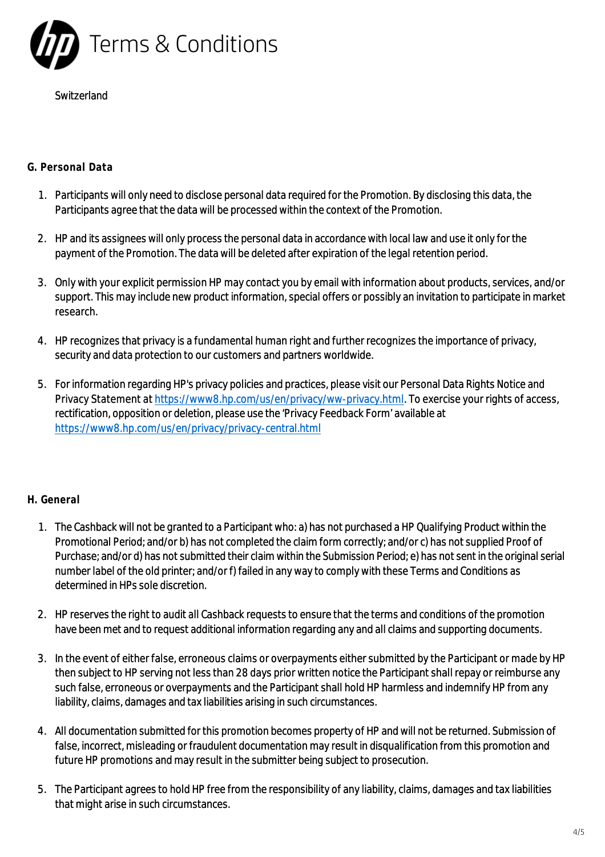

**Switzerland** 

# **G. Personal Data**

- 1. Participants will only need to disclose personal data required for the Promotion. By disclosing this data, the Participants agree that the data will be processed within the context of the Promotion.
- 2. HP and its assignees will only process the personal data in accordance with local law and use it only for the payment of the Promotion. The data will be deleted after expiration of the legal retention period.
- 3. Only with your explicit permission HP may contact you by email with information about products, services, and/or support. This may include new product information, special offers or possibly an invitation to participate in market research.
- 4. HP recognizes that privacy is a fundamental human right and further recognizes the importance of privacy, security and data protection to our customers and partners worldwide.
- 5. For information regarding HP's privacy policies and practices, please visit our Personal Data Rights Notice and Privacy Statement at<https://www8.hp.com/us/en/privacy/ww-privacy.html>. To exercise your rights of access, rectification, opposition or deletion, please use the 'Privacy Feedback Form' available at <https://www8.hp.com/us/en/privacy/privacy-central.html>

## **H. General**

- 1. The Cashback will not be granted to a Participant who: a) has not purchased a HP Qualifying Product within the Promotional Period; and/or b) has not completed the claim form correctly; and/or c) has not supplied Proof of Purchase; and/or d) has not submitted their claim within the Submission Period; e) has not sent in the original serial number label of the old printer; and/or f) failed in any way to comply with these Terms and Conditions as determined in HPs sole discretion.
- 2. HP reserves the right to audit all Cashback requests to ensure that the terms and conditions of the promotion have been met and to request additional information regarding any and all claims and supporting documents.
- 3. In the event of either false, erroneous claims or overpayments either submitted by the Participant or made by HP then subject to HP serving not less than 28 days prior written notice the Participant shall repay or reimburse any such false, erroneous or overpayments and the Participant shall hold HP harmless and indemnify HP from any liability, claims, damages and tax liabilities arising in such circumstances.
- 4. All documentation submitted for this promotion becomes property of HP and will not be returned. Submission of false, incorrect, misleading or fraudulent documentation may result in disqualification from this promotion and future HP promotions and may result in the submitter being subject to prosecution.
- 5. The Participant agrees to hold HP free from the responsibility of any liability, claims, damages and tax liabilities that might arise in such circumstances.